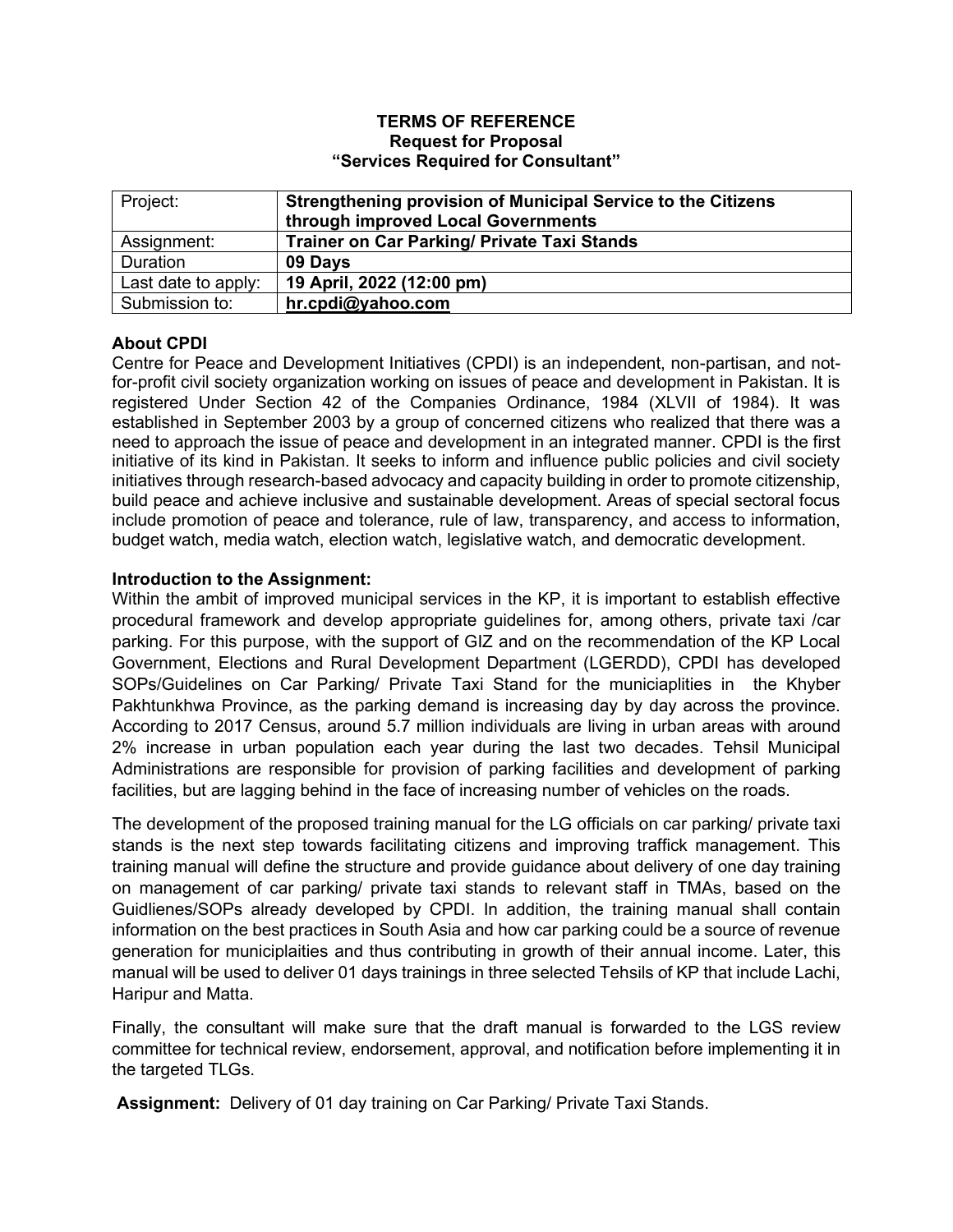#### **TERMS OF REFERENCE Request for Proposal "Services Required for Consultant"**

| Project:            | Strengthening provision of Municipal Service to the Citizens<br>through improved Local Governments |
|---------------------|----------------------------------------------------------------------------------------------------|
| Assignment:         | <b>Trainer on Car Parking/ Private Taxi Stands</b>                                                 |
| Duration            | 09 Days                                                                                            |
| Last date to apply: | 19 April, 2022 (12:00 pm)                                                                          |
| Submission to:      | hr.cpdi@yahoo.com                                                                                  |

# **About CPDI**

Centre for Peace and Development Initiatives (CPDI) is an independent, non-partisan, and notfor-profit civil society organization working on issues of peace and development in Pakistan. It is registered Under Section 42 of the Companies Ordinance, 1984 (XLVII of 1984). It was established in September 2003 by a group of concerned citizens who realized that there was a need to approach the issue of peace and development in an integrated manner. CPDI is the first initiative of its kind in Pakistan. It seeks to inform and influence public policies and civil society initiatives through research-based advocacy and capacity building in order to promote citizenship, build peace and achieve inclusive and sustainable development. Areas of special sectoral focus include promotion of peace and tolerance, rule of law, transparency, and access to information, budget watch, media watch, election watch, legislative watch, and democratic development.

## **Introduction to the Assignment:**

Within the ambit of improved municipal services in the KP, it is important to establish effective procedural framework and develop appropriate guidelines for, among others, private taxi /car parking. For this purpose, with the support of GIZ and on the recommendation of the KP Local Government, Elections and Rural Development Department (LGERDD), CPDI has developed SOPs/Guidelines on Car Parking/ Private Taxi Stand for the municiaplities in the Khyber Pakhtunkhwa Province, as the parking demand is increasing day by day across the province. According to 2017 Census, around 5.7 million individuals are living in urban areas with around 2% increase in urban population each year during the last two decades. Tehsil Municipal Administrations are responsible for provision of parking facilities and development of parking facilities, but are lagging behind in the face of increasing number of vehicles on the roads.

The development of the proposed training manual for the LG officials on car parking/ private taxi stands is the next step towards facilitating citizens and improving traffick management. This training manual will define the structure and provide guidance about delivery of one day training on management of car parking/ private taxi stands to relevant staff in TMAs, based on the Guidlienes/SOPs already developed by CPDI. In addition, the training manual shall contain information on the best practices in South Asia and how car parking could be a source of revenue generation for municiplaities and thus contributing in growth of their annual income. Later, this manual will be used to deliver 01 days trainings in three selected Tehsils of KP that include Lachi, Haripur and Matta.

Finally, the consultant will make sure that the draft manual is forwarded to the LGS review committee for technical review, endorsement, approval, and notification before implementing it in the targeted TLGs.

**Assignment:** Delivery of 01 day training on Car Parking/ Private Taxi Stands.